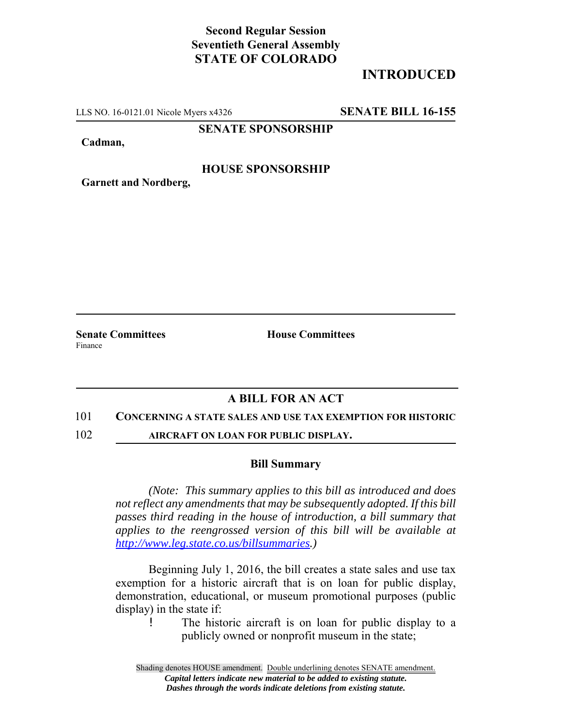# **Second Regular Session Seventieth General Assembly STATE OF COLORADO**

# **INTRODUCED**

LLS NO. 16-0121.01 Nicole Myers x4326 **SENATE BILL 16-155**

### **SENATE SPONSORSHIP**

**Cadman,**

### **HOUSE SPONSORSHIP**

**Garnett and Nordberg,**

Finance

**Senate Committees House Committees** 

## **A BILL FOR AN ACT**

#### 101 **CONCERNING A STATE SALES AND USE TAX EXEMPTION FOR HISTORIC**

102 **AIRCRAFT ON LOAN FOR PUBLIC DISPLAY.**

#### **Bill Summary**

*(Note: This summary applies to this bill as introduced and does not reflect any amendments that may be subsequently adopted. If this bill passes third reading in the house of introduction, a bill summary that applies to the reengrossed version of this bill will be available at http://www.leg.state.co.us/billsummaries.)*

Beginning July 1, 2016, the bill creates a state sales and use tax exemption for a historic aircraft that is on loan for public display, demonstration, educational, or museum promotional purposes (public display) in the state if:

! The historic aircraft is on loan for public display to a publicly owned or nonprofit museum in the state;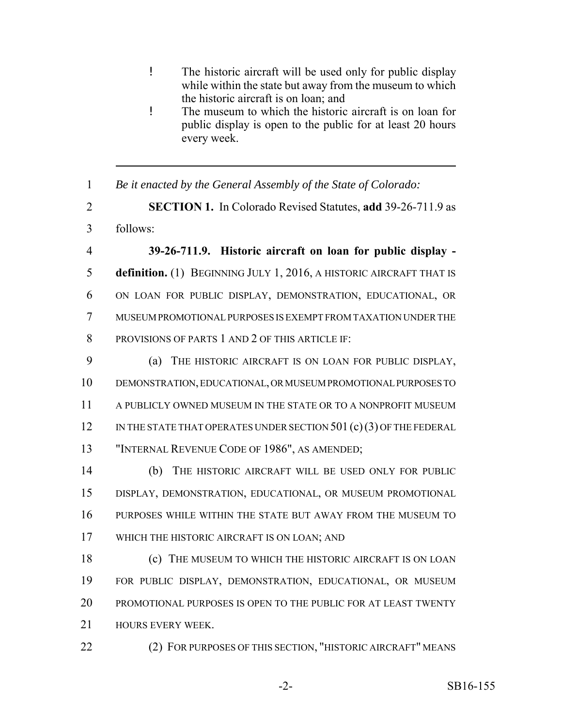- ! The historic aircraft will be used only for public display while within the state but away from the museum to which the historic aircraft is on loan; and
- ! The museum to which the historic aircraft is on loan for public display is open to the public for at least 20 hours every week.
- *Be it enacted by the General Assembly of the State of Colorado:*
- **SECTION 1.** In Colorado Revised Statutes, **add** 39-26-711.9 as follows:

 **39-26-711.9. Historic aircraft on loan for public display - definition.** (1) BEGINNING JULY 1, 2016, A HISTORIC AIRCRAFT THAT IS ON LOAN FOR PUBLIC DISPLAY, DEMONSTRATION, EDUCATIONAL, OR MUSEUM PROMOTIONAL PURPOSES IS EXEMPT FROM TAXATION UNDER THE 8 PROVISIONS OF PARTS 1 AND 2 OF THIS ARTICLE IF:

 (a) THE HISTORIC AIRCRAFT IS ON LOAN FOR PUBLIC DISPLAY, DEMONSTRATION, EDUCATIONAL, OR MUSEUM PROMOTIONAL PURPOSES TO A PUBLICLY OWNED MUSEUM IN THE STATE OR TO A NONPROFIT MUSEUM 12 IN THE STATE THAT OPERATES UNDER SECTION 501 (c)(3) OF THE FEDERAL "INTERNAL REVENUE CODE OF 1986", AS AMENDED;

 (b) THE HISTORIC AIRCRAFT WILL BE USED ONLY FOR PUBLIC DISPLAY, DEMONSTRATION, EDUCATIONAL, OR MUSEUM PROMOTIONAL PURPOSES WHILE WITHIN THE STATE BUT AWAY FROM THE MUSEUM TO WHICH THE HISTORIC AIRCRAFT IS ON LOAN; AND

 (c) THE MUSEUM TO WHICH THE HISTORIC AIRCRAFT IS ON LOAN FOR PUBLIC DISPLAY, DEMONSTRATION, EDUCATIONAL, OR MUSEUM PROMOTIONAL PURPOSES IS OPEN TO THE PUBLIC FOR AT LEAST TWENTY **HOURS EVERY WEEK.** 

**(2) FOR PURPOSES OF THIS SECTION, "HISTORIC AIRCRAFT" MEANS**